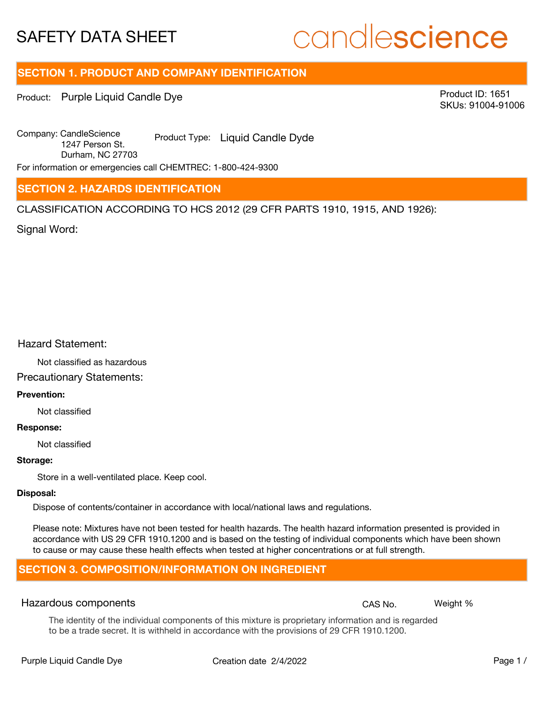# candlescience

## **SECTION 1. PRODUCT AND COMPANY IDENTIFICATION**

Product: Purple Liquid Candle Dye

Product ID: 1651 SKUs: 91004-91006

Company: Candle Science<br>
1947 Person Oten Coduct Type: Liquid Candle Dyde 1247 Person St. Durham, NC 27703

For information or emergencies call CHEMTREC: 1-800-424-9300

## **SECTION 2. HAZARDS IDENTIFICATION**

CLASSIFICATION ACCORDING TO HCS 2012 (29 CFR PARTS 1910, 1915, AND 1926):

Signal Word:

## Hazard Statement:

Not classified as hazardous

## Precautionary Statements:

## **Prevention:**

Not classified

#### **Response:**

Not classified

## **Storage:**

Store in a well-ventilated place. Keep cool.

#### **Disposal:**

Dispose of contents/container in accordance with local/national laws and regulations.

Please note: Mixtures have not been tested for health hazards. The health hazard information presented is provided in accordance with US 29 CFR 1910.1200 and is based on the testing of individual components which have been shown to cause or may cause these health effects when tested at higher concentrations or at full strength.

## **SECTION 3. COMPOSITION/INFORMATION ON INGREDIENT**

## Hazardous components **CAS No. Weight %** and CAS No. Weight %

The identity of the individual components of this mixture is proprietary information and is regarded to be a trade secret. It is withheld in accordance with the provisions of 29 CFR 1910.1200.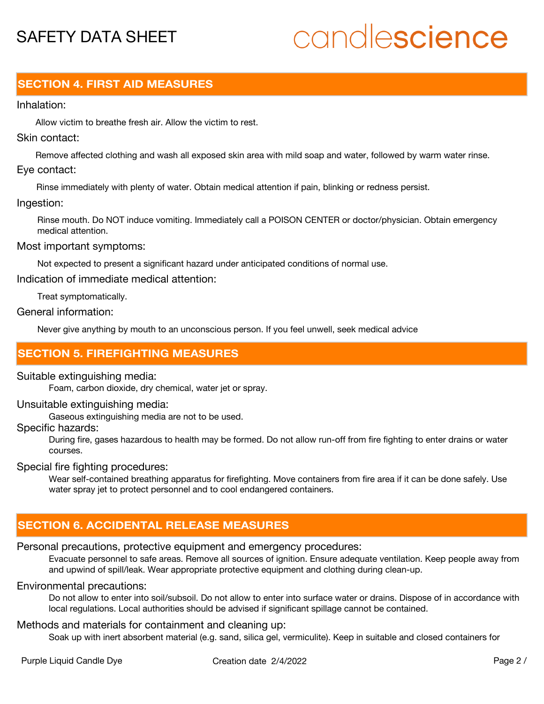# candlescience

## **SECTION 4. FIRST AID MEASURES**

## Inhalation:

Allow victim to breathe fresh air. Allow the victim to rest.

## Skin contact:

Remove affected clothing and wash all exposed skin area with mild soap and water, followed by warm water rinse. Eye contact:

Rinse immediately with plenty of water. Obtain medical attention if pain, blinking or redness persist.

## Ingestion:

Rinse mouth. Do NOT induce vomiting. Immediately call a POISON CENTER or doctor/physician. Obtain emergency medical attention.

## Most important symptoms:

Not expected to present a significant hazard under anticipated conditions of normal use.

Indication of immediate medical attention:

Treat symptomatically.

## General information:

Never give anything by mouth to an unconscious person. If you feel unwell, seek medical advice

## **SECTION 5. FIREFIGHTING MEASURES**

## Suitable extinguishing media:

Foam, carbon dioxide, dry chemical, water jet or spray.

## Unsuitable extinguishing media:

Gaseous extinguishing media are not to be used.

## Specific hazards:

During fire, gases hazardous to health may be formed. Do not allow run-off from fire fighting to enter drains or water courses.

## Special fire fighting procedures:

Wear self-contained breathing apparatus for firefighting. Move containers from fire area if it can be done safely. Use water spray jet to protect personnel and to cool endangered containers.

## **SECTION 6. ACCIDENTAL RELEASE MEASURES**

## Personal precautions, protective equipment and emergency procedures:

Evacuate personnel to safe areas. Remove all sources of ignition. Ensure adequate ventilation. Keep people away from and upwind of spill/leak. Wear appropriate protective equipment and clothing during clean-up.

## Environmental precautions:

Do not allow to enter into soil/subsoil. Do not allow to enter into surface water or drains. Dispose of in accordance with local regulations. Local authorities should be advised if significant spillage cannot be contained.

## Methods and materials for containment and cleaning up:

Soak up with inert absorbent material (e.g. sand, silica gel, vermiculite). Keep in suitable and closed containers for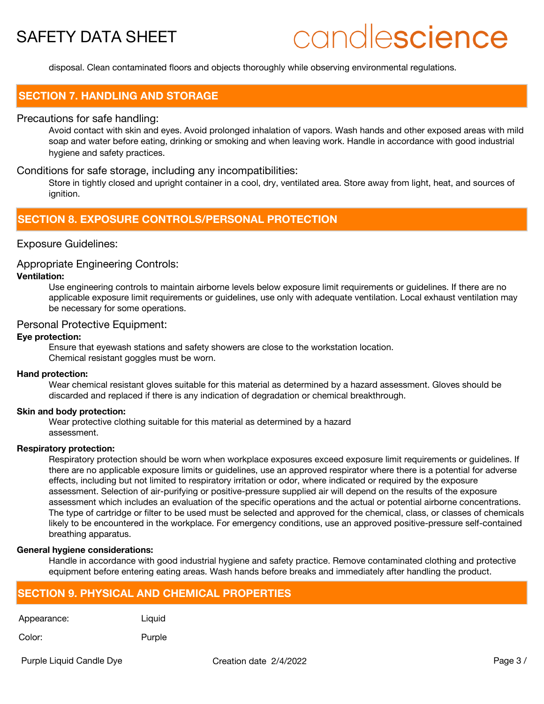# candlescience

disposal. Clean contaminated floors and objects thoroughly while observing environmental regulations.

## **SECTION 7. HANDLING AND STORAGE**

## Precautions for safe handling:

Avoid contact with skin and eyes. Avoid prolonged inhalation of vapors. Wash hands and other exposed areas with mild soap and water before eating, drinking or smoking and when leaving work. Handle in accordance with good industrial hygiene and safety practices.

## Conditions for safe storage, including any incompatibilities:

Store in tightly closed and upright container in a cool, dry, ventilated area. Store away from light, heat, and sources of ignition.

## **SECTION 8. EXPOSURE CONTROLS/PERSONAL PROTECTION**

## Exposure Guidelines:

#### Appropriate Engineering Controls:

## **Ventilation:**

Use engineering controls to maintain airborne levels below exposure limit requirements or guidelines. If there are no applicable exposure limit requirements or guidelines, use only with adequate ventilation. Local exhaust ventilation may be necessary for some operations.

## Personal Protective Equipment:

### **Eye protection:**

Ensure that eyewash stations and safety showers are close to the workstation location. Chemical resistant goggles must be worn.

#### **Hand protection:**

Wear chemical resistant gloves suitable for this material as determined by a hazard assessment. Gloves should be discarded and replaced if there is any indication of degradation or chemical breakthrough.

#### **Skin and body protection:**

Wear protective clothing suitable for this material as determined by a hazard assessment.

#### **Respiratory protection:**

Respiratory protection should be worn when workplace exposures exceed exposure limit requirements or guidelines. If there are no applicable exposure limits or guidelines, use an approved respirator where there is a potential for adverse effects, including but not limited to respiratory irritation or odor, where indicated or required by the exposure assessment. Selection of air-purifying or positive-pressure supplied air will depend on the results of the exposure assessment which includes an evaluation of the specific operations and the actual or potential airborne concentrations. The type of cartridge or filter to be used must be selected and approved for the chemical, class, or classes of chemicals likely to be encountered in the workplace. For emergency conditions, use an approved positive-pressure self-contained breathing apparatus.

#### **General hygiene considerations:**

Handle in accordance with good industrial hygiene and safety practice. Remove contaminated clothing and protective equipment before entering eating areas. Wash hands before breaks and immediately after handling the product.

## **SECTION 9. PHYSICAL AND CHEMICAL PROPERTIES**

Appearance: Liquid

Color: Purple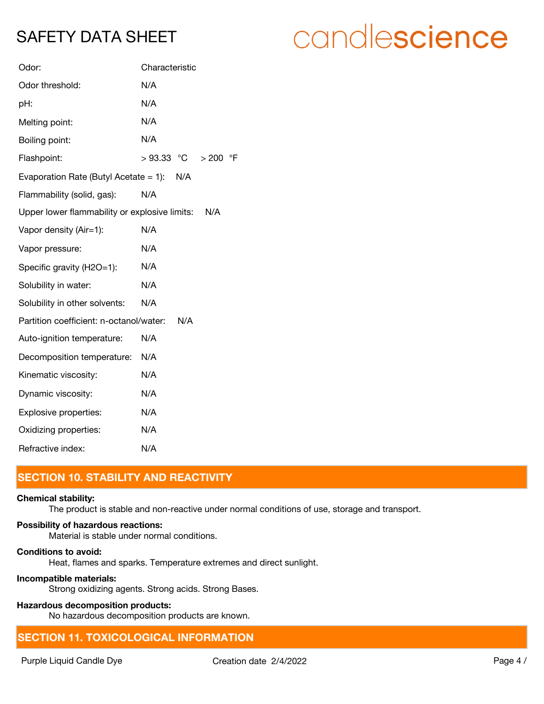| Odor:                                           | Characteristic                    |
|-------------------------------------------------|-----------------------------------|
| Odor threshold:                                 | N/A                               |
| pH:                                             | N/A                               |
| Melting point:                                  | N/A                               |
| Boiling point:                                  | N/A                               |
| Flashpoint:                                     | $>93.33$ °C<br>$\circ$ F<br>> 200 |
| Evaporation Rate (Butyl Acetate $= 1$ ):<br>N/A |                                   |
| Flammability (solid, gas):                      | N/A                               |
| Upper lower flammability or explosive limits:   | N/A                               |
| Vapor density (Air=1):                          | N/A                               |
| Vapor pressure:                                 | N/A                               |
| Specific gravity (H2O=1):                       | N/A                               |
| Solubility in water:                            | N/A                               |
| Solubility in other solvents:                   | N/A                               |
| Partition coefficient: n-octanol/water:         | N/A                               |
| Auto-ignition temperature:                      | N/A                               |
| Decomposition temperature:                      | N/A                               |
| Kinematic viscosity:                            | N/A                               |
| Dynamic viscosity:                              | N/A                               |
| Explosive properties:                           | N/A                               |
| Oxidizing properties:                           | N/A                               |
| Refractive index:                               | N/A                               |

## **SECTION 10. STABILITY AND REACTIVITY**

## **Chemical stability:**

The product is stable and non-reactive under normal conditions of use, storage and transport.

## **Possibility of hazardous reactions:**

Material is stable under normal conditions.

## **Conditions to avoid:**

Heat, flames and sparks. Temperature extremes and direct sunlight.

## **Incompatible materials:**

Strong oxidizing agents. Strong acids. Strong Bases.

## **Hazardous decomposition products:**

No hazardous decomposition products are known.

## **SECTION 11. TOXICOLOGICAL INFORMATION**

# candlescience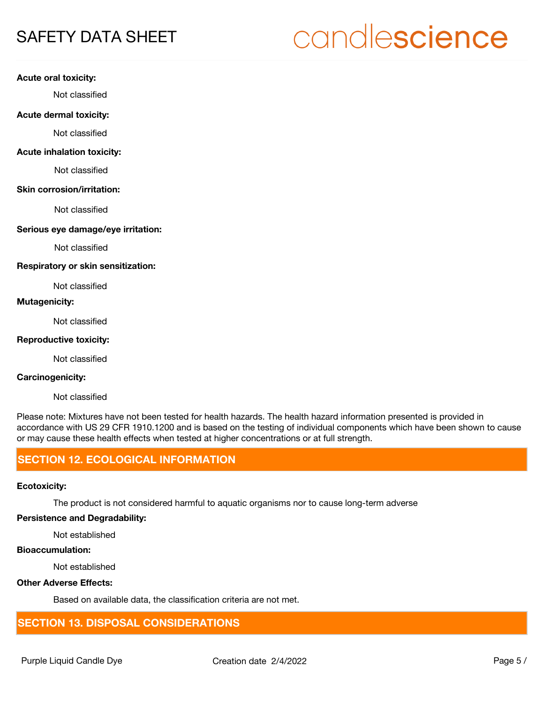# candlescience

#### **Acute oral toxicity:**

Not classified

#### **Acute dermal toxicity:**

Not classified

### **Acute inhalation toxicity:**

Not classified

#### **Skin corrosion/irritation:**

Not classified

## **Serious eye damage/eye irritation:**

Not classified

#### **Respiratory or skin sensitization:**

Not classified

## **Mutagenicity:**

Not classified

## **Reproductive toxicity:**

Not classified

## **Carcinogenicity:**

Not classified

Please note: Mixtures have not been tested for health hazards. The health hazard information presented is provided in accordance with US 29 CFR 1910.1200 and is based on the testing of individual components which have been shown to cause or may cause these health effects when tested at higher concentrations or at full strength.

## **SECTION 12. ECOLOGICAL INFORMATION**

### **Ecotoxicity:**

The product is not considered harmful to aquatic organisms nor to cause long-term adverse

### **Persistence and Degradability:**

Not established

## **Bioaccumulation:**

Not established

## **Other Adverse Effects:**

Based on available data, the classification criteria are not met.

## **SECTION 13. DISPOSAL CONSIDERATIONS**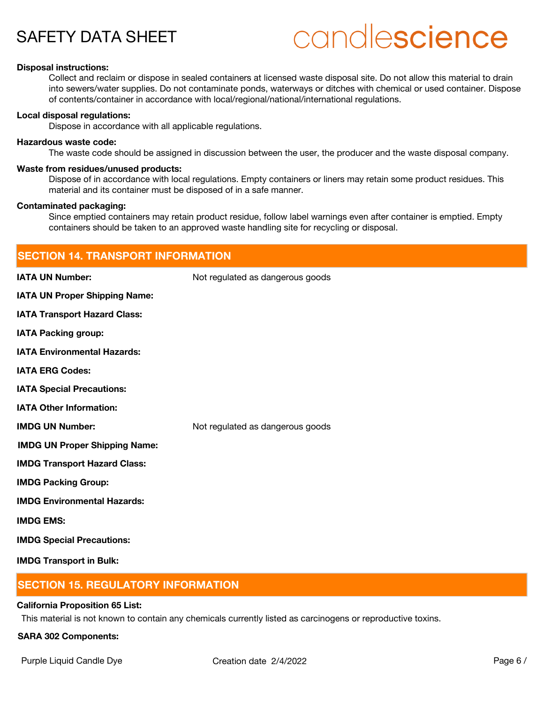# candlescience

#### **Disposal instructions:**

Collect and reclaim or dispose in sealed containers at licensed waste disposal site. Do not allow this material to drain into sewers/water supplies. Do not contaminate ponds, waterways or ditches with chemical or used container. Dispose of contents/container in accordance with local/regional/national/international regulations.

#### **Local disposal regulations:**

Dispose in accordance with all applicable regulations.

#### **Hazardous waste code:**

The waste code should be assigned in discussion between the user, the producer and the waste disposal company.

#### **Waste from residues/unused products:**

Dispose of in accordance with local regulations. Empty containers or liners may retain some product residues. This material and its container must be disposed of in a safe manner.

#### **Contaminated packaging:**

Since emptied containers may retain product residue, follow label warnings even after container is emptied. Empty containers should be taken to an approved waste handling site for recycling or disposal.

| <b>SECTION 14. TRANSPORT INFORMATION</b> |                                  |  |
|------------------------------------------|----------------------------------|--|
| <b>IATA UN Number:</b>                   | Not regulated as dangerous goods |  |
| IATA UN Proper Shipping Name:            |                                  |  |
| <b>IATA Transport Hazard Class:</b>      |                                  |  |
| <b>IATA Packing group:</b>               |                                  |  |
| <b>IATA Environmental Hazards:</b>       |                                  |  |
| <b>IATA ERG Codes:</b>                   |                                  |  |
| <b>IATA Special Precautions:</b>         |                                  |  |
| <b>IATA Other Information:</b>           |                                  |  |
| <b>IMDG UN Number:</b>                   | Not regulated as dangerous goods |  |
| <b>IMDG UN Proper Shipping Name:</b>     |                                  |  |
| <b>IMDG Transport Hazard Class:</b>      |                                  |  |
| <b>IMDG Packing Group:</b>               |                                  |  |
| <b>IMDG Environmental Hazards:</b>       |                                  |  |
| <b>IMDG EMS:</b>                         |                                  |  |
| <b>IMDG Special Precautions:</b>         |                                  |  |
| <b>IMDG Transport in Bulk:</b>           |                                  |  |

## **SECTION 15. REGULATORY INFORMATION**

#### **California Proposition 65 List:**

This material is not known to contain any chemicals currently listed as carcinogens or reproductive toxins.

#### **SARA 302 Components:**

Purple Liquid Candle Dye **Creation date 2/4/2022** Page 6 /